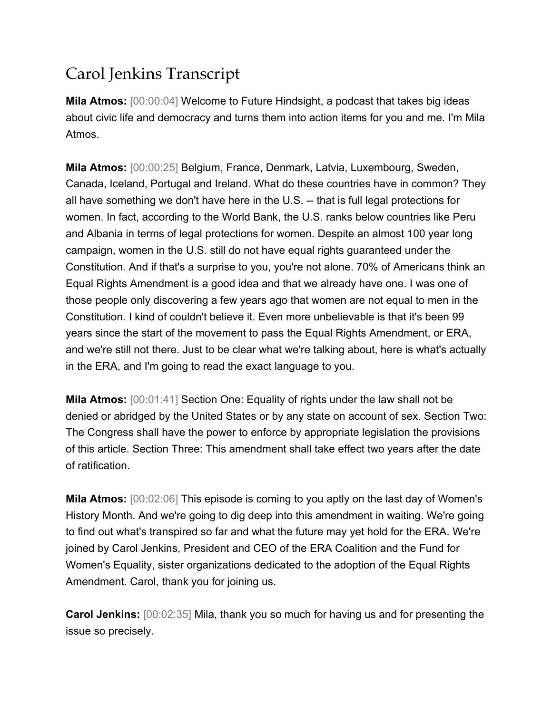## Carol Jenkins Transcript

**Mila Atmos:** [00:00:04] Welcome to Future Hindsight, a podcast that takes big ideas about civic life and democracy and turns them into action items for you and me. I'm Mila Atmos.

**Mila Atmos:** [00:00:25] Belgium, France, Denmark, Latvia, Luxembourg, Sweden, Canada, Iceland, Portugal and Ireland. What do these countries have in common? They all have something we don't have here in the U.S. -- that is full legal protections for women. In fact, according to the World Bank, the U.S. ranks below countries like Peru and Albania in terms of legal protections for women. Despite an almost 100 year long campaign, women in the U.S. still do not have equal rights guaranteed under the Constitution. And if that's a surprise to you, you're not alone. 70% of Americans think an Equal Rights Amendment is a good idea and that we already have one. I was one of those people only discovering a few years ago that women are not equal to men in the Constitution. I kind of couldn't believe it. Even more unbelievable is that it's been 99 years since the start of the movement to pass the Equal Rights Amendment, or ERA, and we're still not there. Just to be clear what we're talking about, here is what's actually in the ERA, and I'm going to read the exact language to you.

**Mila Atmos:** [00:01:41] Section One: Equality of rights under the law shall not be denied or abridged by the United States or by any state on account of sex. Section Two: The Congress shall have the power to enforce by appropriate legislation the provisions of this article. Section Three: This amendment shall take effect two years after the date of ratification.

**Mila Atmos:** [00:02:06] This episode is coming to you aptly on the last day of Women's History Month. And we're going to dig deep into this amendment in waiting. We're going to find out what's transpired so far and what the future may yet hold for the ERA. We're joined by Carol Jenkins, President and CEO of the ERA Coalition and the Fund for Women's Equality, sister organizations dedicated to the adoption of the Equal Rights Amendment. Carol, thank you for joining us.

**Carol Jenkins:** [00:02:35] Mila, thank you so much for having us and for presenting the issue so precisely.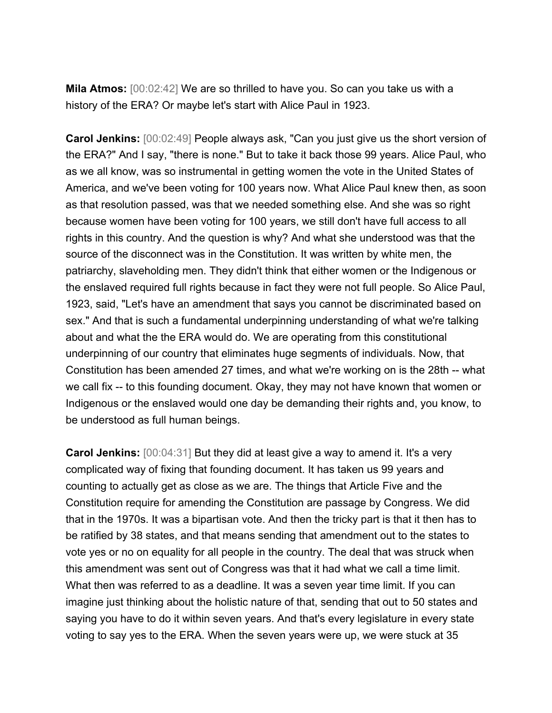**Mila Atmos:** [00:02:42] We are so thrilled to have you. So can you take us with a history of the ERA? Or maybe let's start with Alice Paul in 1923.

**Carol Jenkins:** [00:02:49] People always ask, "Can you just give us the short version of the ERA?" And I say, "there is none." But to take it back those 99 years. Alice Paul, who as we all know, was so instrumental in getting women the vote in the United States of America, and we've been voting for 100 years now. What Alice Paul knew then, as soon as that resolution passed, was that we needed something else. And she was so right because women have been voting for 100 years, we still don't have full access to all rights in this country. And the question is why? And what she understood was that the source of the disconnect was in the Constitution. It was written by white men, the patriarchy, slaveholding men. They didn't think that either women or the Indigenous or the enslaved required full rights because in fact they were not full people. So Alice Paul, 1923, said, "Let's have an amendment that says you cannot be discriminated based on sex." And that is such a fundamental underpinning understanding of what we're talking about and what the the ERA would do. We are operating from this constitutional underpinning of our country that eliminates huge segments of individuals. Now, that Constitution has been amended 27 times, and what we're working on is the 28th -- what we call fix -- to this founding document. Okay, they may not have known that women or Indigenous or the enslaved would one day be demanding their rights and, you know, to be understood as full human beings.

**Carol Jenkins:** [00:04:31] But they did at least give a way to amend it. It's a very complicated way of fixing that founding document. It has taken us 99 years and counting to actually get as close as we are. The things that Article Five and the Constitution require for amending the Constitution are passage by Congress. We did that in the 1970s. It was a bipartisan vote. And then the tricky part is that it then has to be ratified by 38 states, and that means sending that amendment out to the states to vote yes or no on equality for all people in the country. The deal that was struck when this amendment was sent out of Congress was that it had what we call a time limit. What then was referred to as a deadline. It was a seven year time limit. If you can imagine just thinking about the holistic nature of that, sending that out to 50 states and saying you have to do it within seven years. And that's every legislature in every state voting to say yes to the ERA. When the seven years were up, we were stuck at 35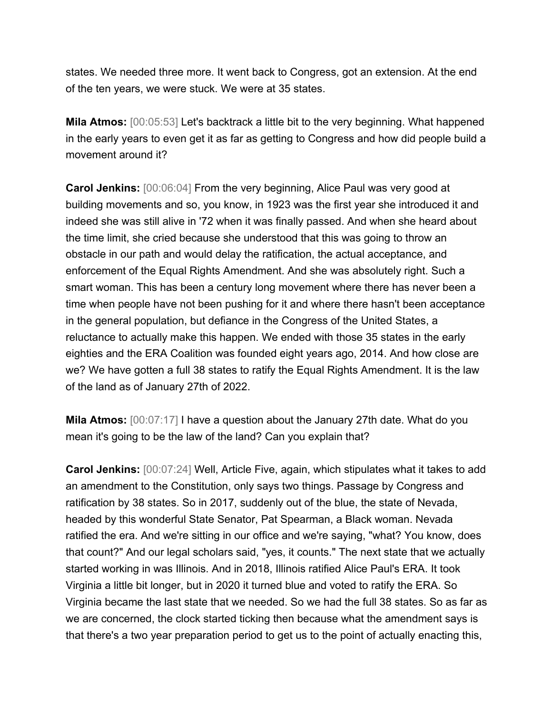states. We needed three more. It went back to Congress, got an extension. At the end of the ten years, we were stuck. We were at 35 states.

**Mila Atmos:** [00:05:53] Let's backtrack a little bit to the very beginning. What happened in the early years to even get it as far as getting to Congress and how did people build a movement around it?

**Carol Jenkins:** [00:06:04] From the very beginning, Alice Paul was very good at building movements and so, you know, in 1923 was the first year she introduced it and indeed she was still alive in '72 when it was finally passed. And when she heard about the time limit, she cried because she understood that this was going to throw an obstacle in our path and would delay the ratification, the actual acceptance, and enforcement of the Equal Rights Amendment. And she was absolutely right. Such a smart woman. This has been a century long movement where there has never been a time when people have not been pushing for it and where there hasn't been acceptance in the general population, but defiance in the Congress of the United States, a reluctance to actually make this happen. We ended with those 35 states in the early eighties and the ERA Coalition was founded eight years ago, 2014. And how close are we? We have gotten a full 38 states to ratify the Equal Rights Amendment. It is the law of the land as of January 27th of 2022.

**Mila Atmos:** [00:07:17] I have a question about the January 27th date. What do you mean it's going to be the law of the land? Can you explain that?

**Carol Jenkins:** [00:07:24] Well, Article Five, again, which stipulates what it takes to add an amendment to the Constitution, only says two things. Passage by Congress and ratification by 38 states. So in 2017, suddenly out of the blue, the state of Nevada, headed by this wonderful State Senator, Pat Spearman, a Black woman. Nevada ratified the era. And we're sitting in our office and we're saying, "what? You know, does that count?" And our legal scholars said, "yes, it counts." The next state that we actually started working in was Illinois. And in 2018, Illinois ratified Alice Paul's ERA. It took Virginia a little bit longer, but in 2020 it turned blue and voted to ratify the ERA. So Virginia became the last state that we needed. So we had the full 38 states. So as far as we are concerned, the clock started ticking then because what the amendment says is that there's a two year preparation period to get us to the point of actually enacting this,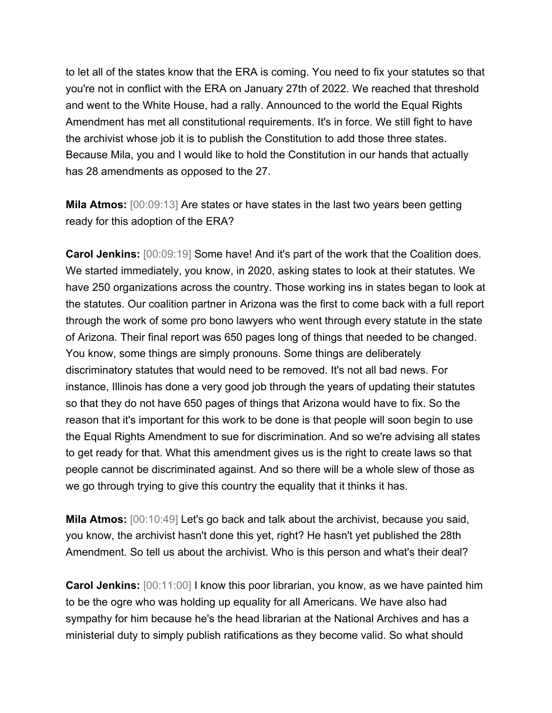to let all of the states know that the ERA is coming. You need to fix your statutes so that you're not in conflict with the ERA on January 27th of 2022. We reached that threshold and went to the White House, had a rally. Announced to the world the Equal Rights Amendment has met all constitutional requirements. It's in force. We still fight to have the archivist whose job it is to publish the Constitution to add those three states. Because Mila, you and I would like to hold the Constitution in our hands that actually has 28 amendments as opposed to the 27.

**Mila Atmos:** [00:09:13] Are states or have states in the last two years been getting ready for this adoption of the ERA?

**Carol Jenkins:** [00:09:19] Some have! And it's part of the work that the Coalition does. We started immediately, you know, in 2020, asking states to look at their statutes. We have 250 organizations across the country. Those working ins in states began to look at the statutes. Our coalition partner in Arizona was the first to come back with a full report through the work of some pro bono lawyers who went through every statute in the state of Arizona. Their final report was 650 pages long of things that needed to be changed. You know, some things are simply pronouns. Some things are deliberately discriminatory statutes that would need to be removed. It's not all bad news. For instance, Illinois has done a very good job through the years of updating their statutes so that they do not have 650 pages of things that Arizona would have to fix. So the reason that it's important for this work to be done is that people will soon begin to use the Equal Rights Amendment to sue for discrimination. And so we're advising all states to get ready for that. What this amendment gives us is the right to create laws so that people cannot be discriminated against. And so there will be a whole slew of those as we go through trying to give this country the equality that it thinks it has.

**Mila Atmos:** [00:10:49] Let's go back and talk about the archivist, because you said, you know, the archivist hasn't done this yet, right? He hasn't yet published the 28th Amendment. So tell us about the archivist. Who is this person and what's their deal?

**Carol Jenkins:** [00:11:00] I know this poor librarian, you know, as we have painted him to be the ogre who was holding up equality for all Americans. We have also had sympathy for him because he's the head librarian at the National Archives and has a ministerial duty to simply publish ratifications as they become valid. So what should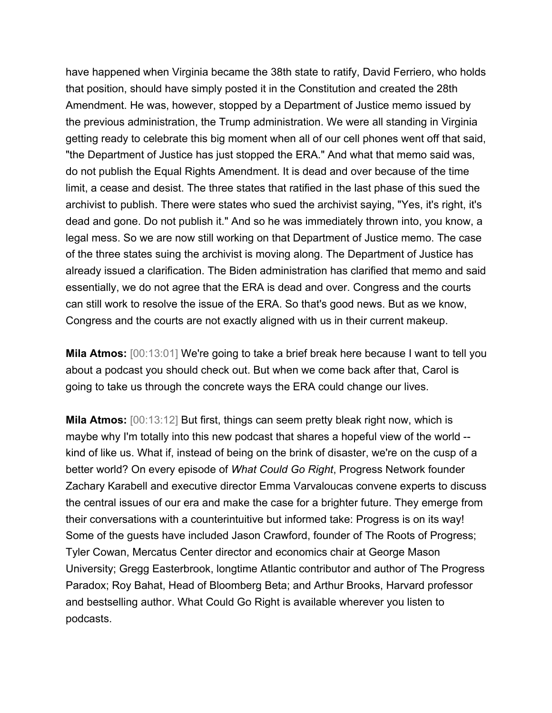have happened when Virginia became the 38th state to ratify, David Ferriero, who holds that position, should have simply posted it in the Constitution and created the 28th Amendment. He was, however, stopped by a Department of Justice memo issued by the previous administration, the Trump administration. We were all standing in Virginia getting ready to celebrate this big moment when all of our cell phones went off that said, "the Department of Justice has just stopped the ERA." And what that memo said was, do not publish the Equal Rights Amendment. It is dead and over because of the time limit, a cease and desist. The three states that ratified in the last phase of this sued the archivist to publish. There were states who sued the archivist saying, "Yes, it's right, it's dead and gone. Do not publish it." And so he was immediately thrown into, you know, a legal mess. So we are now still working on that Department of Justice memo. The case of the three states suing the archivist is moving along. The Department of Justice has already issued a clarification. The Biden administration has clarified that memo and said essentially, we do not agree that the ERA is dead and over. Congress and the courts can still work to resolve the issue of the ERA. So that's good news. But as we know, Congress and the courts are not exactly aligned with us in their current makeup.

**Mila Atmos:** [00:13:01] We're going to take a brief break here because I want to tell you about a podcast you should check out. But when we come back after that, Carol is going to take us through the concrete ways the ERA could change our lives.

**Mila Atmos:** [00:13:12] But first, things can seem pretty bleak right now, which is maybe why I'm totally into this new podcast that shares a hopeful view of the world - kind of like us. What if, instead of being on the brink of disaster, we're on the cusp of a better world? On every episode of *What Could Go Right*, Progress Network founder Zachary Karabell and executive director Emma Varvaloucas convene experts to discuss the central issues of our era and make the case for a brighter future. They emerge from their conversations with a counterintuitive but informed take: Progress is on its way! Some of the guests have included Jason Crawford, founder of The Roots of Progress; Tyler Cowan, Mercatus Center director and economics chair at George Mason University; Gregg Easterbrook, longtime Atlantic contributor and author of The Progress Paradox; Roy Bahat, Head of Bloomberg Beta; and Arthur Brooks, Harvard professor and bestselling author. What Could Go Right is available wherever you listen to podcasts.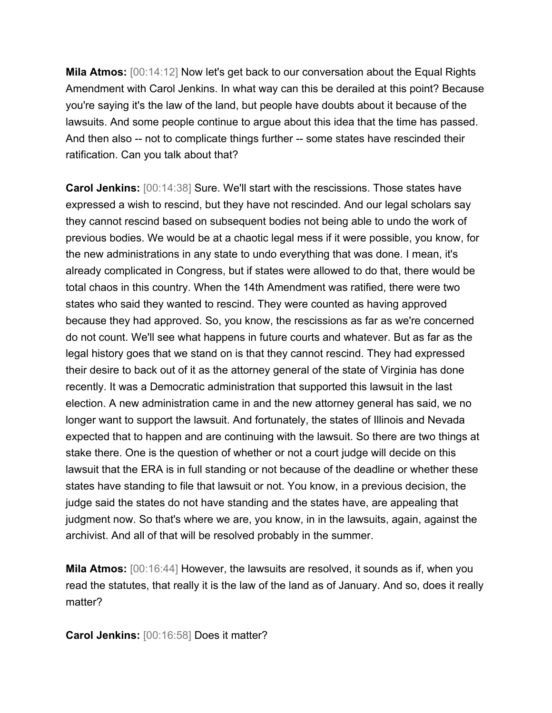**Mila Atmos:** [00:14:12] Now let's get back to our conversation about the Equal Rights Amendment with Carol Jenkins. In what way can this be derailed at this point? Because you're saying it's the law of the land, but people have doubts about it because of the lawsuits. And some people continue to argue about this idea that the time has passed. And then also -- not to complicate things further -- some states have rescinded their ratification. Can you talk about that?

**Carol Jenkins:** [00:14:38] Sure. We'll start with the rescissions. Those states have expressed a wish to rescind, but they have not rescinded. And our legal scholars say they cannot rescind based on subsequent bodies not being able to undo the work of previous bodies. We would be at a chaotic legal mess if it were possible, you know, for the new administrations in any state to undo everything that was done. I mean, it's already complicated in Congress, but if states were allowed to do that, there would be total chaos in this country. When the 14th Amendment was ratified, there were two states who said they wanted to rescind. They were counted as having approved because they had approved. So, you know, the rescissions as far as we're concerned do not count. We'll see what happens in future courts and whatever. But as far as the legal history goes that we stand on is that they cannot rescind. They had expressed their desire to back out of it as the attorney general of the state of Virginia has done recently. It was a Democratic administration that supported this lawsuit in the last election. A new administration came in and the new attorney general has said, we no longer want to support the lawsuit. And fortunately, the states of Illinois and Nevada expected that to happen and are continuing with the lawsuit. So there are two things at stake there. One is the question of whether or not a court judge will decide on this lawsuit that the ERA is in full standing or not because of the deadline or whether these states have standing to file that lawsuit or not. You know, in a previous decision, the judge said the states do not have standing and the states have, are appealing that judgment now. So that's where we are, you know, in in the lawsuits, again, against the archivist. And all of that will be resolved probably in the summer.

**Mila Atmos:** [00:16:44] However, the lawsuits are resolved, it sounds as if, when you read the statutes, that really it is the law of the land as of January. And so, does it really matter?

**Carol Jenkins:** [00:16:58] Does it matter?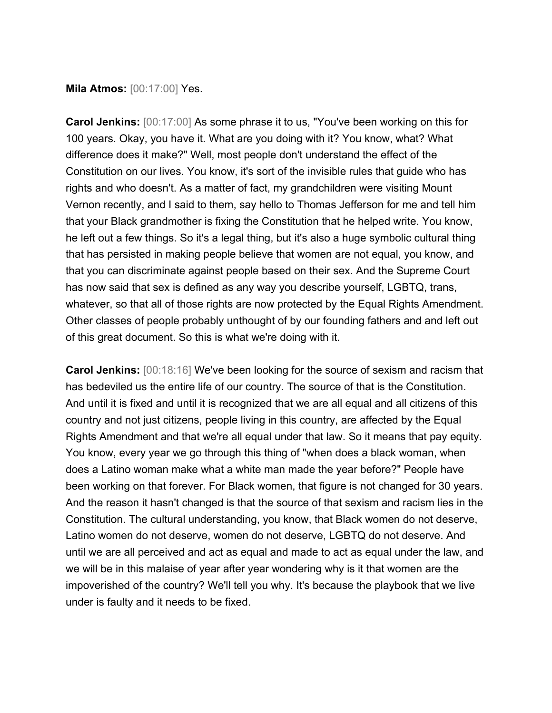**Mila Atmos:** [00:17:00] Yes.

**Carol Jenkins:** [00:17:00] As some phrase it to us, "You've been working on this for 100 years. Okay, you have it. What are you doing with it? You know, what? What difference does it make?" Well, most people don't understand the effect of the Constitution on our lives. You know, it's sort of the invisible rules that guide who has rights and who doesn't. As a matter of fact, my grandchildren were visiting Mount Vernon recently, and I said to them, say hello to Thomas Jefferson for me and tell him that your Black grandmother is fixing the Constitution that he helped write. You know, he left out a few things. So it's a legal thing, but it's also a huge symbolic cultural thing that has persisted in making people believe that women are not equal, you know, and that you can discriminate against people based on their sex. And the Supreme Court has now said that sex is defined as any way you describe yourself, LGBTQ, trans, whatever, so that all of those rights are now protected by the Equal Rights Amendment. Other classes of people probably unthought of by our founding fathers and and left out of this great document. So this is what we're doing with it.

**Carol Jenkins:** [00:18:16] We've been looking for the source of sexism and racism that has bedeviled us the entire life of our country. The source of that is the Constitution. And until it is fixed and until it is recognized that we are all equal and all citizens of this country and not just citizens, people living in this country, are affected by the Equal Rights Amendment and that we're all equal under that law. So it means that pay equity. You know, every year we go through this thing of "when does a black woman, when does a Latino woman make what a white man made the year before?" People have been working on that forever. For Black women, that figure is not changed for 30 years. And the reason it hasn't changed is that the source of that sexism and racism lies in the Constitution. The cultural understanding, you know, that Black women do not deserve, Latino women do not deserve, women do not deserve, LGBTQ do not deserve. And until we are all perceived and act as equal and made to act as equal under the law, and we will be in this malaise of year after year wondering why is it that women are the impoverished of the country? We'll tell you why. It's because the playbook that we live under is faulty and it needs to be fixed.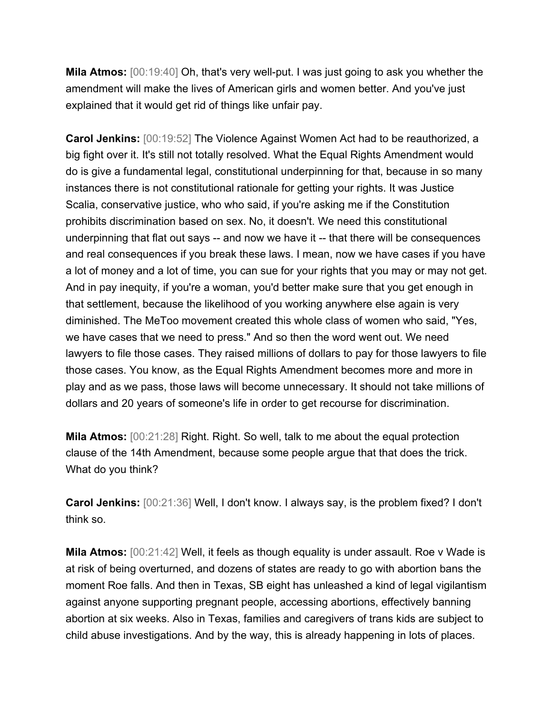**Mila Atmos:** [00:19:40] Oh, that's very well-put. I was just going to ask you whether the amendment will make the lives of American girls and women better. And you've just explained that it would get rid of things like unfair pay.

**Carol Jenkins:** [00:19:52] The Violence Against Women Act had to be reauthorized, a big fight over it. It's still not totally resolved. What the Equal Rights Amendment would do is give a fundamental legal, constitutional underpinning for that, because in so many instances there is not constitutional rationale for getting your rights. It was Justice Scalia, conservative justice, who who said, if you're asking me if the Constitution prohibits discrimination based on sex. No, it doesn't. We need this constitutional underpinning that flat out says -- and now we have it -- that there will be consequences and real consequences if you break these laws. I mean, now we have cases if you have a lot of money and a lot of time, you can sue for your rights that you may or may not get. And in pay inequity, if you're a woman, you'd better make sure that you get enough in that settlement, because the likelihood of you working anywhere else again is very diminished. The MeToo movement created this whole class of women who said, "Yes, we have cases that we need to press." And so then the word went out. We need lawyers to file those cases. They raised millions of dollars to pay for those lawyers to file those cases. You know, as the Equal Rights Amendment becomes more and more in play and as we pass, those laws will become unnecessary. It should not take millions of dollars and 20 years of someone's life in order to get recourse for discrimination.

**Mila Atmos:** [00:21:28] Right. Right. So well, talk to me about the equal protection clause of the 14th Amendment, because some people argue that that does the trick. What do you think?

**Carol Jenkins:** [00:21:36] Well, I don't know. I always say, is the problem fixed? I don't think so.

**Mila Atmos:** [00:21:42] Well, it feels as though equality is under assault. Roe v Wade is at risk of being overturned, and dozens of states are ready to go with abortion bans the moment Roe falls. And then in Texas, SB eight has unleashed a kind of legal vigilantism against anyone supporting pregnant people, accessing abortions, effectively banning abortion at six weeks. Also in Texas, families and caregivers of trans kids are subject to child abuse investigations. And by the way, this is already happening in lots of places.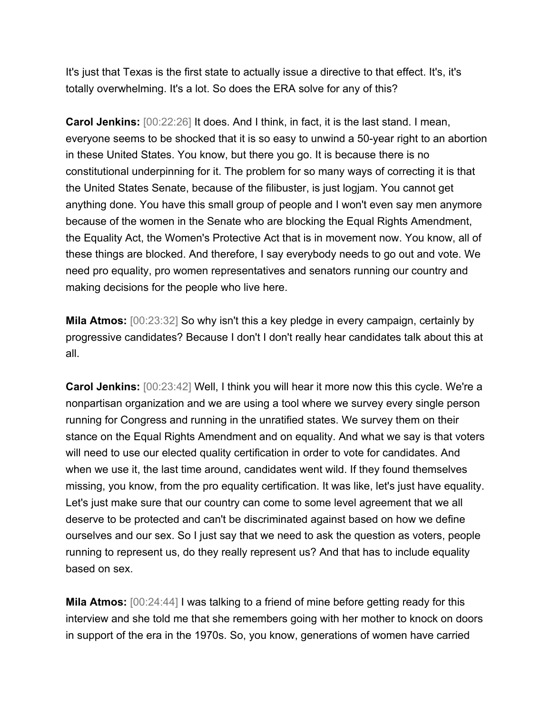It's just that Texas is the first state to actually issue a directive to that effect. It's, it's totally overwhelming. It's a lot. So does the ERA solve for any of this?

**Carol Jenkins:** [00:22:26] It does. And I think, in fact, it is the last stand. I mean, everyone seems to be shocked that it is so easy to unwind a 50-year right to an abortion in these United States. You know, but there you go. It is because there is no constitutional underpinning for it. The problem for so many ways of correcting it is that the United States Senate, because of the filibuster, is just logjam. You cannot get anything done. You have this small group of people and I won't even say men anymore because of the women in the Senate who are blocking the Equal Rights Amendment, the Equality Act, the Women's Protective Act that is in movement now. You know, all of these things are blocked. And therefore, I say everybody needs to go out and vote. We need pro equality, pro women representatives and senators running our country and making decisions for the people who live here.

**Mila Atmos:** [00:23:32] So why isn't this a key pledge in every campaign, certainly by progressive candidates? Because I don't I don't really hear candidates talk about this at all.

**Carol Jenkins:** [00:23:42] Well, I think you will hear it more now this this cycle. We're a nonpartisan organization and we are using a tool where we survey every single person running for Congress and running in the unratified states. We survey them on their stance on the Equal Rights Amendment and on equality. And what we say is that voters will need to use our elected quality certification in order to vote for candidates. And when we use it, the last time around, candidates went wild. If they found themselves missing, you know, from the pro equality certification. It was like, let's just have equality. Let's just make sure that our country can come to some level agreement that we all deserve to be protected and can't be discriminated against based on how we define ourselves and our sex. So I just say that we need to ask the question as voters, people running to represent us, do they really represent us? And that has to include equality based on sex.

**Mila Atmos:** [00:24:44] I was talking to a friend of mine before getting ready for this interview and she told me that she remembers going with her mother to knock on doors in support of the era in the 1970s. So, you know, generations of women have carried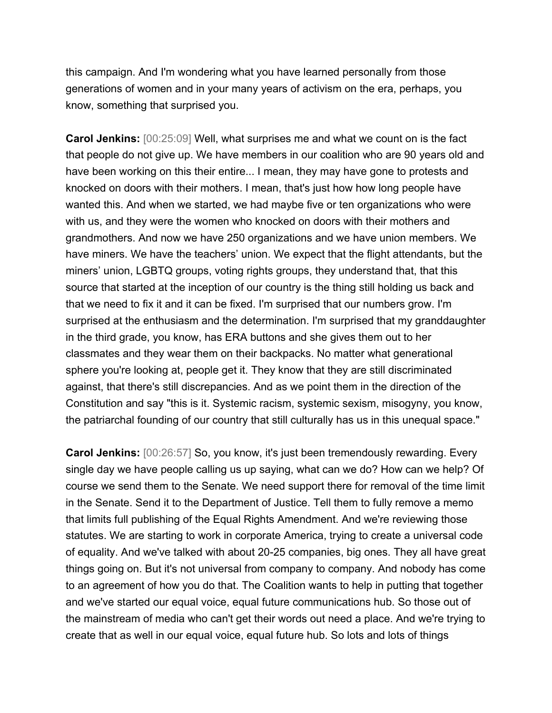this campaign. And I'm wondering what you have learned personally from those generations of women and in your many years of activism on the era, perhaps, you know, something that surprised you.

**Carol Jenkins:** [00:25:09] Well, what surprises me and what we count on is the fact that people do not give up. We have members in our coalition who are 90 years old and have been working on this their entire... I mean, they may have gone to protests and knocked on doors with their mothers. I mean, that's just how how long people have wanted this. And when we started, we had maybe five or ten organizations who were with us, and they were the women who knocked on doors with their mothers and grandmothers. And now we have 250 organizations and we have union members. We have miners. We have the teachers' union. We expect that the flight attendants, but the miners' union, LGBTQ groups, voting rights groups, they understand that, that this source that started at the inception of our country is the thing still holding us back and that we need to fix it and it can be fixed. I'm surprised that our numbers grow. I'm surprised at the enthusiasm and the determination. I'm surprised that my granddaughter in the third grade, you know, has ERA buttons and she gives them out to her classmates and they wear them on their backpacks. No matter what generational sphere you're looking at, people get it. They know that they are still discriminated against, that there's still discrepancies. And as we point them in the direction of the Constitution and say "this is it. Systemic racism, systemic sexism, misogyny, you know, the patriarchal founding of our country that still culturally has us in this unequal space."

**Carol Jenkins:** [00:26:57] So, you know, it's just been tremendously rewarding. Every single day we have people calling us up saying, what can we do? How can we help? Of course we send them to the Senate. We need support there for removal of the time limit in the Senate. Send it to the Department of Justice. Tell them to fully remove a memo that limits full publishing of the Equal Rights Amendment. And we're reviewing those statutes. We are starting to work in corporate America, trying to create a universal code of equality. And we've talked with about 20-25 companies, big ones. They all have great things going on. But it's not universal from company to company. And nobody has come to an agreement of how you do that. The Coalition wants to help in putting that together and we've started our equal voice, equal future communications hub. So those out of the mainstream of media who can't get their words out need a place. And we're trying to create that as well in our equal voice, equal future hub. So lots and lots of things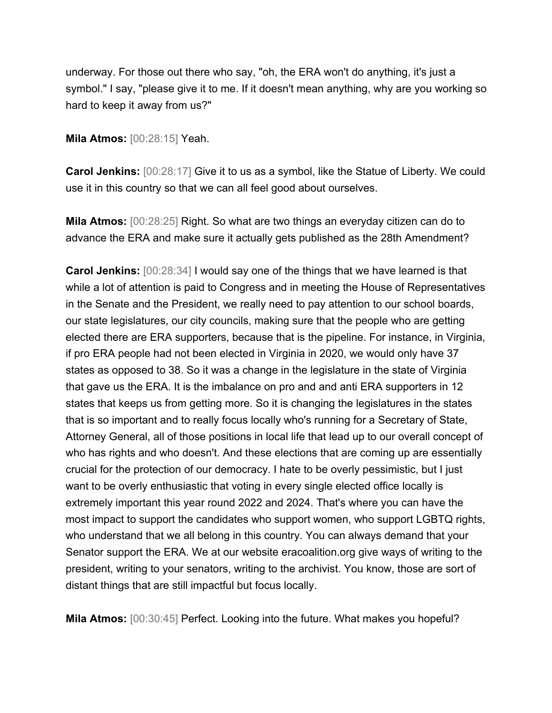underway. For those out there who say, "oh, the ERA won't do anything, it's just a symbol." I say, "please give it to me. If it doesn't mean anything, why are you working so hard to keep it away from us?"

**Mila Atmos:** [00:28:15] Yeah.

**Carol Jenkins:** [00:28:17] Give it to us as a symbol, like the Statue of Liberty. We could use it in this country so that we can all feel good about ourselves.

**Mila Atmos:** [00:28:25] Right. So what are two things an everyday citizen can do to advance the ERA and make sure it actually gets published as the 28th Amendment?

**Carol Jenkins:** [00:28:34] I would say one of the things that we have learned is that while a lot of attention is paid to Congress and in meeting the House of Representatives in the Senate and the President, we really need to pay attention to our school boards, our state legislatures, our city councils, making sure that the people who are getting elected there are ERA supporters, because that is the pipeline. For instance, in Virginia, if pro ERA people had not been elected in Virginia in 2020, we would only have 37 states as opposed to 38. So it was a change in the legislature in the state of Virginia that gave us the ERA. It is the imbalance on pro and and anti ERA supporters in 12 states that keeps us from getting more. So it is changing the legislatures in the states that is so important and to really focus locally who's running for a Secretary of State, Attorney General, all of those positions in local life that lead up to our overall concept of who has rights and who doesn't. And these elections that are coming up are essentially crucial for the protection of our democracy. I hate to be overly pessimistic, but I just want to be overly enthusiastic that voting in every single elected office locally is extremely important this year round 2022 and 2024. That's where you can have the most impact to support the candidates who support women, who support LGBTQ rights, who understand that we all belong in this country. You can always demand that your Senator support the ERA. We at our website eracoalition.org give ways of writing to the president, writing to your senators, writing to the archivist. You know, those are sort of distant things that are still impactful but focus locally.

**Mila Atmos:** [00:30:45] Perfect. Looking into the future. What makes you hopeful?